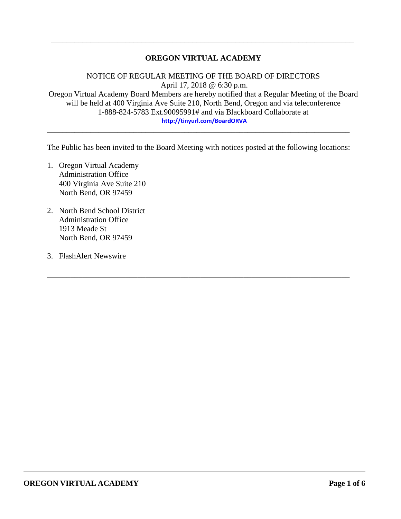### **OREGON VIRTUAL ACADEMY**

\_\_\_\_\_\_\_\_\_\_\_\_\_\_\_\_\_\_\_\_\_\_\_\_\_\_\_\_\_\_\_\_\_\_\_\_\_\_\_\_\_\_\_\_\_\_\_\_\_\_\_\_\_\_\_\_\_\_\_\_\_\_\_\_\_\_\_\_\_\_\_\_\_\_\_\_\_

NOTICE OF REGULAR MEETING OF THE BOARD OF DIRECTORS April 17, 2018 @ 6:30 p.m. Oregon Virtual Academy Board Members are hereby notified that a Regular Meeting of the Board will be held at 400 Virginia Ave Suite 210, North Bend, Oregon and via teleconference 1-888-824-5783 Ext.90095991# and via Blackboard Collaborate at **<http://tinyurl.com/BoardORVA>**

The Public has been invited to the Board Meeting with notices posted at the following locations:

\_\_\_\_\_\_\_\_\_\_\_\_\_\_\_\_\_\_\_\_\_\_\_\_\_\_\_\_\_\_\_\_\_\_\_\_\_\_\_\_\_\_\_\_\_\_\_\_\_\_\_\_\_\_\_\_\_\_\_\_\_\_\_\_\_\_\_\_\_\_\_\_\_\_\_\_\_

\_\_\_\_\_\_\_\_\_\_\_\_\_\_\_\_\_\_\_\_\_\_\_\_\_\_\_\_\_\_\_\_\_\_\_\_\_\_\_\_\_\_\_\_\_\_\_\_\_\_\_\_\_\_\_\_\_\_\_\_\_\_\_\_\_\_\_\_\_\_\_\_\_\_\_\_\_

- 1. Oregon Virtual Academy Administration Office 400 Virginia Ave Suite 210 North Bend, OR 97459
- 2. North Bend School District Administration Office 1913 Meade St North Bend, OR 97459
- 3. FlashAlert Newswire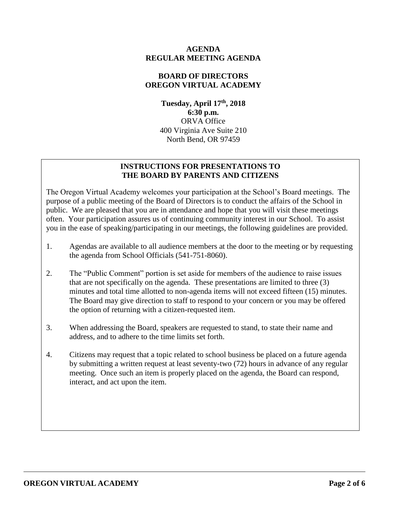#### **AGENDA REGULAR MEETING AGENDA**

## **BOARD OF DIRECTORS OREGON VIRTUAL ACADEMY**

**Tuesday, April 17th , 2018 6:30 p.m.** ORVA Office 400 Virginia Ave Suite 210 North Bend, OR 97459

## **INSTRUCTIONS FOR PRESENTATIONS TO THE BOARD BY PARENTS AND CITIZENS**

The Oregon Virtual Academy welcomes your participation at the School's Board meetings. The purpose of a public meeting of the Board of Directors is to conduct the affairs of the School in public. We are pleased that you are in attendance and hope that you will visit these meetings often. Your participation assures us of continuing community interest in our School. To assist you in the ease of speaking/participating in our meetings, the following guidelines are provided.

- 1. Agendas are available to all audience members at the door to the meeting or by requesting the agenda from School Officials (541-751-8060).
- 2. The "Public Comment" portion is set aside for members of the audience to raise issues that are not specifically on the agenda. These presentations are limited to three (3) minutes and total time allotted to non-agenda items will not exceed fifteen (15) minutes. The Board may give direction to staff to respond to your concern or you may be offered the option of returning with a citizen-requested item.
- 3. When addressing the Board, speakers are requested to stand, to state their name and address, and to adhere to the time limits set forth.
- 4. Citizens may request that a topic related to school business be placed on a future agenda by submitting a written request at least seventy-two (72) hours in advance of any regular meeting. Once such an item is properly placed on the agenda, the Board can respond, interact, and act upon the item.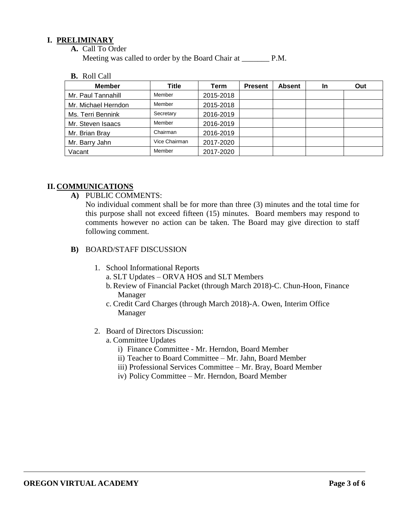#### **I. PRELIMINARY**

**A.** Call To Order

Meeting was called to order by the Board Chair at P.M.

**B.** Roll Call

| <b>Member</b>       | Title         | Term      | <b>Present</b> | <b>Absent</b> | In | Out |
|---------------------|---------------|-----------|----------------|---------------|----|-----|
| Mr. Paul Tannahill  | Member        | 2015-2018 |                |               |    |     |
| Mr. Michael Herndon | Member        | 2015-2018 |                |               |    |     |
| Ms. Terri Bennink   | Secretary     | 2016-2019 |                |               |    |     |
| Mr. Steven Isaacs   | Member        | 2016-2019 |                |               |    |     |
| Mr. Brian Bray      | Chairman      | 2016-2019 |                |               |    |     |
| Mr. Barry Jahn      | Vice Chairman | 2017-2020 |                |               |    |     |
| Vacant              | Member        | 2017-2020 |                |               |    |     |

#### **II. COMMUNICATIONS**

**A)** PUBLIC COMMENTS:

No individual comment shall be for more than three (3) minutes and the total time for this purpose shall not exceed fifteen (15) minutes. Board members may respond to comments however no action can be taken. The Board may give direction to staff following comment.

- **B)** BOARD/STAFF DISCUSSION
	- 1. School Informational Reports
		- a. SLT Updates ORVA HOS and SLT Members
		- b.Review of Financial Packet (through March 2018)-C. Chun-Hoon, Finance Manager
		- c. Credit Card Charges (through March 2018)-A. Owen, Interim Office Manager
	- 2. Board of Directors Discussion:
		- a. Committee Updates
			- i) Finance Committee Mr. Herndon, Board Member
			- ii) Teacher to Board Committee Mr. Jahn, Board Member
			- iii) Professional Services Committee Mr. Bray, Board Member
			- iv) Policy Committee Mr. Herndon, Board Member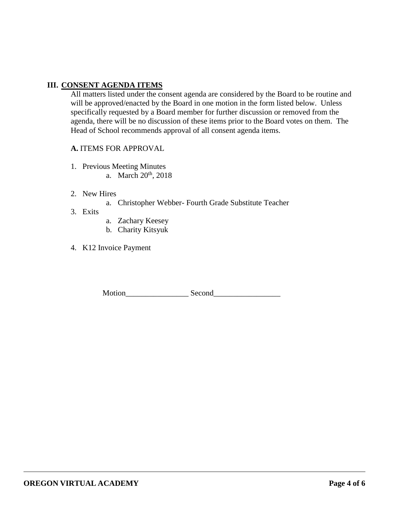### **III. CONSENT AGENDA ITEMS**

All matters listed under the consent agenda are considered by the Board to be routine and will be approved/enacted by the Board in one motion in the form listed below. Unless specifically requested by a Board member for further discussion or removed from the agenda, there will be no discussion of these items prior to the Board votes on them. The Head of School recommends approval of all consent agenda items.

#### **A.** ITEMS FOR APPROVAL

- 1. Previous Meeting Minutes
	- a. March 20<sup>th</sup>, 2018
- 2. New Hires
	- a. Christopher Webber- Fourth Grade Substitute Teacher
- 3. Exits
- a. Zachary Keesey
- b. Charity Kitsyuk
- 4. K12 Invoice Payment

Motion\_\_\_\_\_\_\_\_\_\_\_\_\_\_\_\_ Second\_\_\_\_\_\_\_\_\_\_\_\_\_\_\_\_\_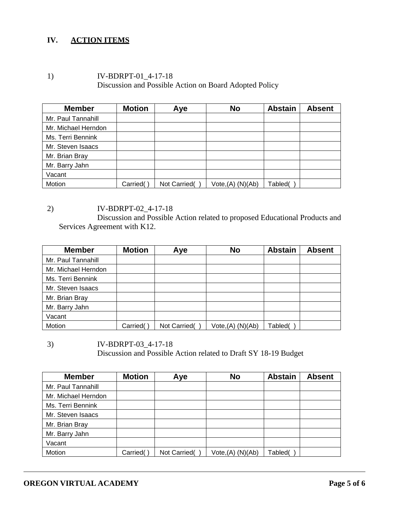## **IV. ACTION ITEMS**

1) IV-BDRPT-01\_4-17-18 Discussion and Possible Action on Board Adopted Policy

| <b>Member</b>       | <b>Motion</b> | Aye          | <b>No</b>            | <b>Abstain</b> | <b>Absent</b> |
|---------------------|---------------|--------------|----------------------|----------------|---------------|
| Mr. Paul Tannahill  |               |              |                      |                |               |
| Mr. Michael Herndon |               |              |                      |                |               |
| Ms. Terri Bennink   |               |              |                      |                |               |
| Mr. Steven Isaacs   |               |              |                      |                |               |
| Mr. Brian Bray      |               |              |                      |                |               |
| Mr. Barry Jahn      |               |              |                      |                |               |
| Vacant              |               |              |                      |                |               |
| Motion              | Carried(      | Not Carried( | $Vote,(A)$ $(N)(Ab)$ | Tabled(        |               |

2) IV-BDRPT-02\_4-17-18 Discussion and Possible Action related to proposed Educational Products and Services Agreement with K12.

| <b>Member</b>       | <b>Motion</b> | Aye          | <b>No</b>            | <b>Abstain</b> | <b>Absent</b> |
|---------------------|---------------|--------------|----------------------|----------------|---------------|
| Mr. Paul Tannahill  |               |              |                      |                |               |
| Mr. Michael Herndon |               |              |                      |                |               |
| Ms. Terri Bennink   |               |              |                      |                |               |
| Mr. Steven Isaacs   |               |              |                      |                |               |
| Mr. Brian Bray      |               |              |                      |                |               |
| Mr. Barry Jahn      |               |              |                      |                |               |
| Vacant              |               |              |                      |                |               |
| Motion              | Carried(      | Not Carried( | $Vote,(A)$ $(N)(Ab)$ | Tabled(        |               |

3) IV-BDRPT-03\_4-17-18 Discussion and Possible Action related to Draft SY 18-19 Budget

| <b>Member</b>       | <b>Motion</b> | Aye          | <b>No</b>         | <b>Abstain</b> | <b>Absent</b> |
|---------------------|---------------|--------------|-------------------|----------------|---------------|
| Mr. Paul Tannahill  |               |              |                   |                |               |
| Mr. Michael Herndon |               |              |                   |                |               |
| Ms. Terri Bennink   |               |              |                   |                |               |
| Mr. Steven Isaacs   |               |              |                   |                |               |
| Mr. Brian Bray      |               |              |                   |                |               |
| Mr. Barry Jahn      |               |              |                   |                |               |
| Vacant              |               |              |                   |                |               |
| Motion              | Carried(      | Not Carried( | Vote, (A) (N)(Ab) | Tabled(        |               |